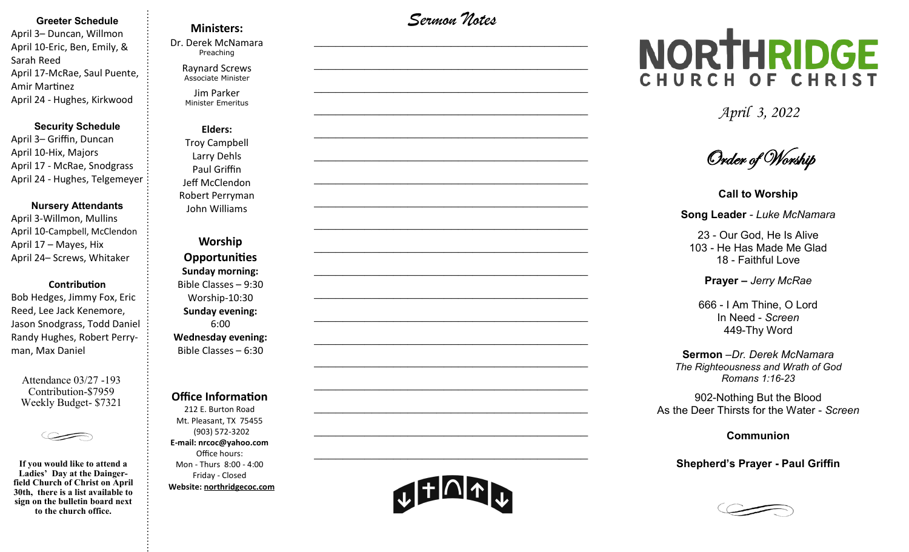#### **Greeter Schedule**

April 3– Duncan, Willmon April 10-Eric, Ben, Emily, & Sarah Reed April 17-McRae, Saul Puente, Amir Martinez April 24 - Hughes, Kirkwood

#### **Security Schedule**

April 3– Griffin, Duncan April 10-Hix, Majors April 17 - McRae, Snodgrass April 24 - Hughes, Telgemeyer

#### **Nursery Attendants**

April 3-Willmon, Mullins April 10-Campbell, McClendon April 17 – Mayes, Hix April 24– Screws, Whitaker

#### **Contribution**

Bob Hedges, Jimmy Fox, Eric Reed, Lee Jack Kenemore, Jason Snodgrass, Todd Daniel Randy Hughes, Robert Perryman, Max Daniel

Attendance 03/27 -193 Contribution-\$7959 Weekly Budget- \$7321

**If you would like to attend a Ladies' Day at the Daingerfield Church of Christ on April 30th, there is a list available to sign on the bulletin board next to the church office.** 

### **Ministers:**

Dr. Derek McNamara Preaching 

Raynard Screws Associate Minister

Jim Parker Minister Emeritus

#### **Elders:** Troy Campbell

Larry Dehls Paul Griffin Jeff McClendon Robert Perryman John Williams

**Worship Opportunities Sunday morning:**  Bible Classes – 9:30 Worship-10:30 **Sunday evening:**  6:00 **Wednesday evening:** Bible Classes – 6:30

#### **Office Information**

212 E. Burton Road Mt. Pleasant, TX 75455 (903) 572-3202 **E-mail: nrcoc@yahoo.com** Office hours: Mon - Thurs 8:00 - 4:00 Friday - Closed **Website: northridgecoc.com**

*Sermon Notes*

## $\mathcal{L}_\text{max}$  $\mathcal{L}_\text{max}$  , and the set of the set of the set of the set of the set of the set of the set of the set of the set of the set of the set of the set of the set of the set of the set of the set of the set of the set of the  $\mathcal{L}_\text{max}$  , and the set of the set of the set of the set of the set of the set of the set of the set of the set of the set of the set of the set of the set of the set of the set of the set of the set of the set of the  $\mathcal{L}_\text{max}$  , and the set of the set of the set of the set of the set of the set of the set of the set of the set of the set of the set of the set of the set of the set of the set of the set of the set of the set of the  $\mathcal{L}_\text{max}$  $\mathcal{L}_\text{max}$  $\mathcal{L}_\text{max}$  , and the set of the set of the set of the set of the set of the set of the set of the set of the set of the set of the set of the set of the set of the set of the set of the set of the set of the set of the  $\mathcal{L}_\text{max}$  , and the set of the set of the set of the set of the set of the set of the set of the set of the set of the set of the set of the set of the set of the set of the set of the set of the set of the set of the  $\mathcal{L}_\text{max}$  , and the set of the set of the set of the set of the set of the set of the set of the set of the set of the set of the set of the set of the set of the set of the set of the set of the set of the set of the  $\mathcal{L}_\text{max}$



 $\mathcal{L}_\text{max}$  , and the set of the set of the set of the set of the set of the set of the set of the set of the set of the set of the set of the set of the set of the set of the set of the set of the set of the set of the

 $\mathcal{L}_\text{max}$  , and the set of the set of the set of the set of the set of the set of the set of the set of the set of the set of the set of the set of the set of the set of the set of the set of the set of the set of the

 $\mathcal{L}_\text{max}$  , and the set of the set of the set of the set of the set of the set of the set of the set of the set of the set of the set of the set of the set of the set of the set of the set of the set of the set of the

 $\mathcal{L}_\text{max}$  , and the set of the set of the set of the set of the set of the set of the set of the set of the set of the set of the set of the set of the set of the set of the set of the set of the set of the set of the

 $\mathcal{L}_\text{max}$ 

 $\mathcal{L}_\text{max}$  , and the set of the set of the set of the set of the set of the set of the set of the set of the set of the set of the set of the set of the set of the set of the set of the set of the set of the set of the

 $\mathcal{L}_\text{max}$  , and the set of the set of the set of the set of the set of the set of the set of the set of the set of the set of the set of the set of the set of the set of the set of the set of the set of the set of the

 $\mathcal{L}_\text{max}$  , and the set of the set of the set of the set of the set of the set of the set of the set of the set of the set of the set of the set of the set of the set of the set of the set of the set of the set of the

 $\mathcal{L}_\text{max}$  , and the set of the set of the set of the set of the set of the set of the set of the set of the set of the set of the set of the set of the set of the set of the set of the set of the set of the set of the

# NORTHRIDGE CHURCH OF CHRIST

*April 3, 2022*

Order of Worship

**Call to Worship Song Leader** *- Luke McNamara*

23 - Our God, He Is Alive 103 - He Has Made Me Glad 18 - Faithful Love

**Prayer –** *Jerry McRae*

666 - I Am Thine, O Lord In Need - *Screen* 449-Thy Word

**Sermon** –*Dr. Derek McNamara The Righteousness and Wrath of God Romans 1:16-23*

902-Nothing But the Blood As the Deer Thirsts for the Water - *Screen*

#### **Communion**

#### **Shepherd's Prayer - Paul Griffin**